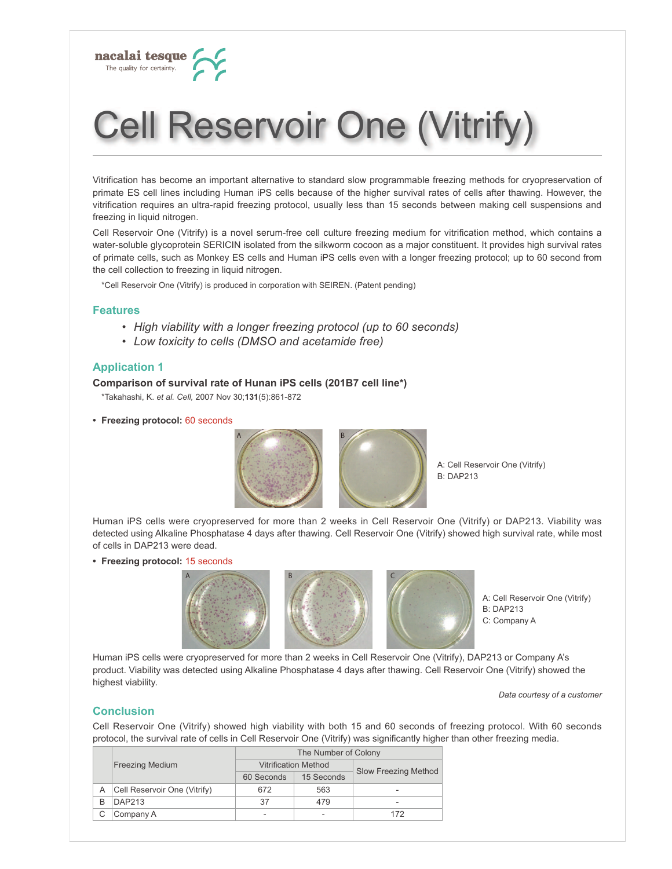

# **Cell Reservoir One (Vitrify)**

Vitrification has become an important alternative to standard slow programmable freezing methods for cryopreservation of primate ES cell lines including Human iPS cells because of the higher survival rates of cells after thawing. However, the vitrification requires an ultra-rapid freezing protocol, usually less than 15 seconds between making cell suspensions and freezing in liquid nitrogen.

Cell Reservoir One (Vitrify) is a novel serum-free cell culture freezing medium for vitrification method, which contains a water-soluble glycoprotein SERICIN isolated from the silkworm cocoon as a major constituent. It provides high survival rates of primate cells, such as Monkey ES cells and Human iPS cells even with a longer freezing protocol; up to 60 second from the cell collection to freezing in liquid nitrogen.

\*Cell Reservoir One (Vitrify) is produced in corporation with SEIREN. (Patent pending)

#### **Features**

- High viability with a longer freezing protocol (up to 60 seconds)
- Low toxicity to cells (DMSO and acetamide free)

# **Application 1**

#### Comparison of survival rate of Hunan iPS cells (201B7 cell line\*)

\*Takahashi, K. et al. Cell, 2007 Nov 30;131(5):861-872

• Freezing protocol: 60 seconds



A: Cell Reservoir One (Vitrify) **B: DAP213** 

Human iPS cells were cryopreserved for more than 2 weeks in Cell Reservoir One (Vitrify) or DAP213. Viability was detected using Alkaline Phosphatase 4 days after thawing. Cell Reservoir One (Vitrify) showed high survival rate, while most of cells in DAP213 were dead.

• Freezing protocol: 15 seconds





A: Cell Reservoir One (Vitrify) **B: DAP213** C: Company A

Human iPS cells were cryopreserved for more than 2 weeks in Cell Reservoir One (Vitrify), DAP213 or Company A's product. Viability was detected using Alkaline Phosphatase 4 days after thawing. Cell Reservoir One (Vitrify) showed the highest viability.

Data courtesy of a customer

#### **Conclusion**

Cell Reservoir One (Vitrify) showed high viability with both 15 and 60 seconds of freezing protocol. With 60 seconds protocol, the survival rate of cells in Cell Reservoir One (Vitrify) was significantly higher than other freezing media.

|   | <b>Freezing Medium</b>       | The Number of Colony |                             |                      |  |  |
|---|------------------------------|----------------------|-----------------------------|----------------------|--|--|
|   |                              |                      | <b>Vitrification Method</b> | Slow Freezing Method |  |  |
|   |                              | 60 Seconds           | 15 Seconds                  |                      |  |  |
| Α | Cell Reservoir One (Vitrify) | 672                  | 563                         | -                    |  |  |
| B | DAP213                       | 37                   | 479                         | ۰                    |  |  |
|   | Company A                    |                      |                             | 172                  |  |  |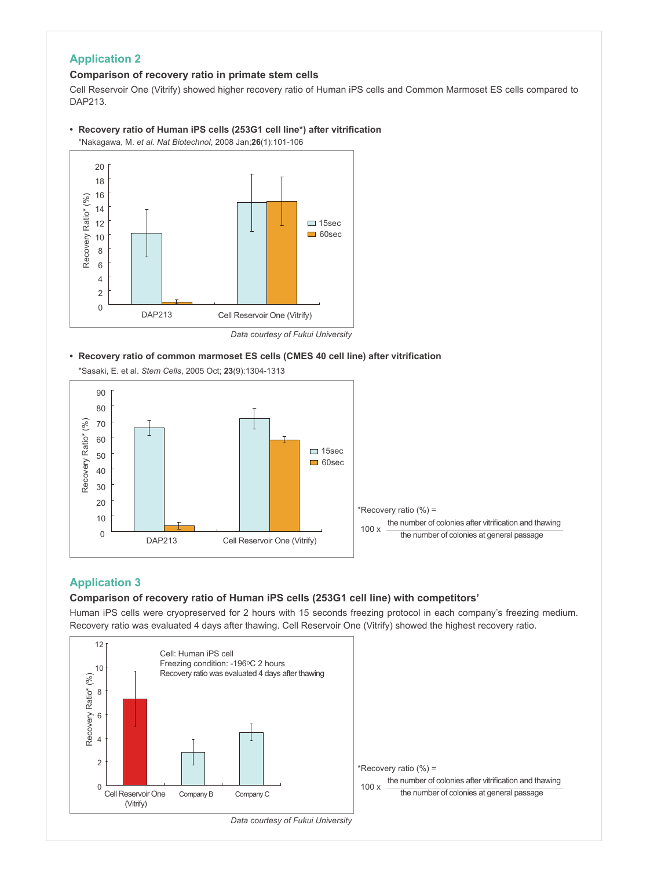# **Application 2**

# **Comparison of recovery ratio in primate stem cells**

Cell Reservoir One (Vitrify) showed higher recovery ratio of Human iPS cells and Common Marmoset ES cells compared to DAP213.

• Recovery ratio of Human iPS cells (253G1 cell line\*) after vitrification \*Nakagawa, M. et al. Nat Biotechnol, 2008 Jan; 26(1): 101-106



Data courtesy of Fukui University

• Recovery ratio of common marmoset ES cells (CMES 40 cell line) after vitrification \*Sasaki, E. et al. Stem Cells, 2005 Oct; 23(9):1304-1313



# **Application 3**

# **Comparison of recovery ratio of Human iPS cells (253G1 cell line) with competitors'**

Human iPS cells were cryopreserved for 2 hours with 15 seconds freezing protocol in each company's freezing medium. Recovery ratio was evaluated 4 days after thawing. Cell Reservoir One (Vitrify) showed the highest recovery ratio.

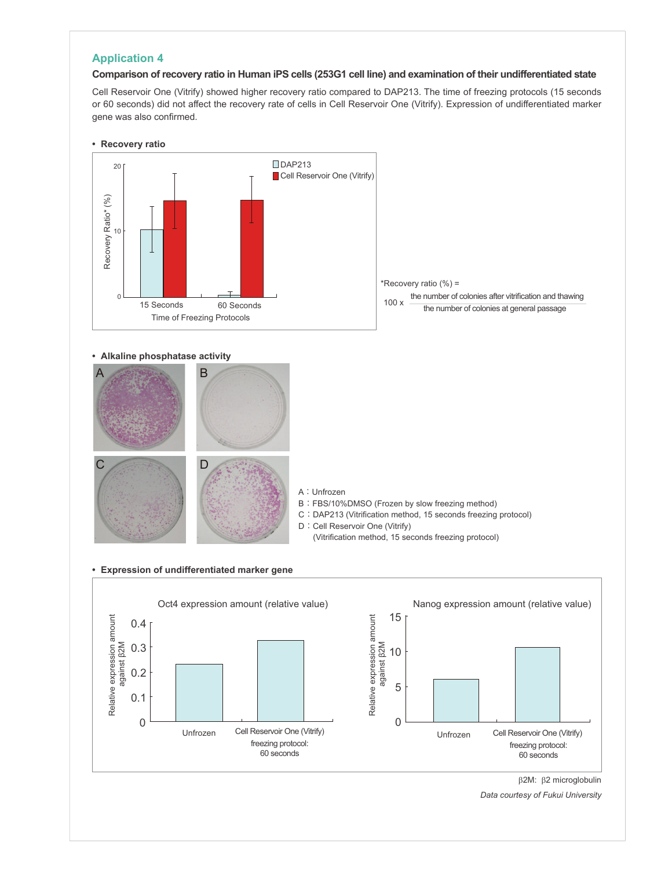# **Application 4**

#### **Comparison of recovery ratio in Human iPS cells (253G1 cell line) and examination of their undifferentiated state**

Cell Reservoir One (Vitrify) showed higher recovery ratio compared to DAP213. The time of freezing protocols (15 seconds or 60 seconds) did not affect the recovery rate of cells in Cell Reservoir One (Vitrify). Expression of undifferentiated marker gene was also confirmed.







#### **Alkaline phosphatase activity**



- A: Unfrozen
- B: FBS/10%DMSO (Frozen by slow freezing method)
- C : DAP213 (Vitrification method, 15 seconds freezing protocol)
- D: Cell Reservoir One (Vitrify)
	- (Vitrification method, 15 seconds freezing protocol)

#### **Expression of undifferentiated marker gene**



 $\beta$ 2M:  $\beta$ 2 microglobulin

Data courtesy of Fukui University